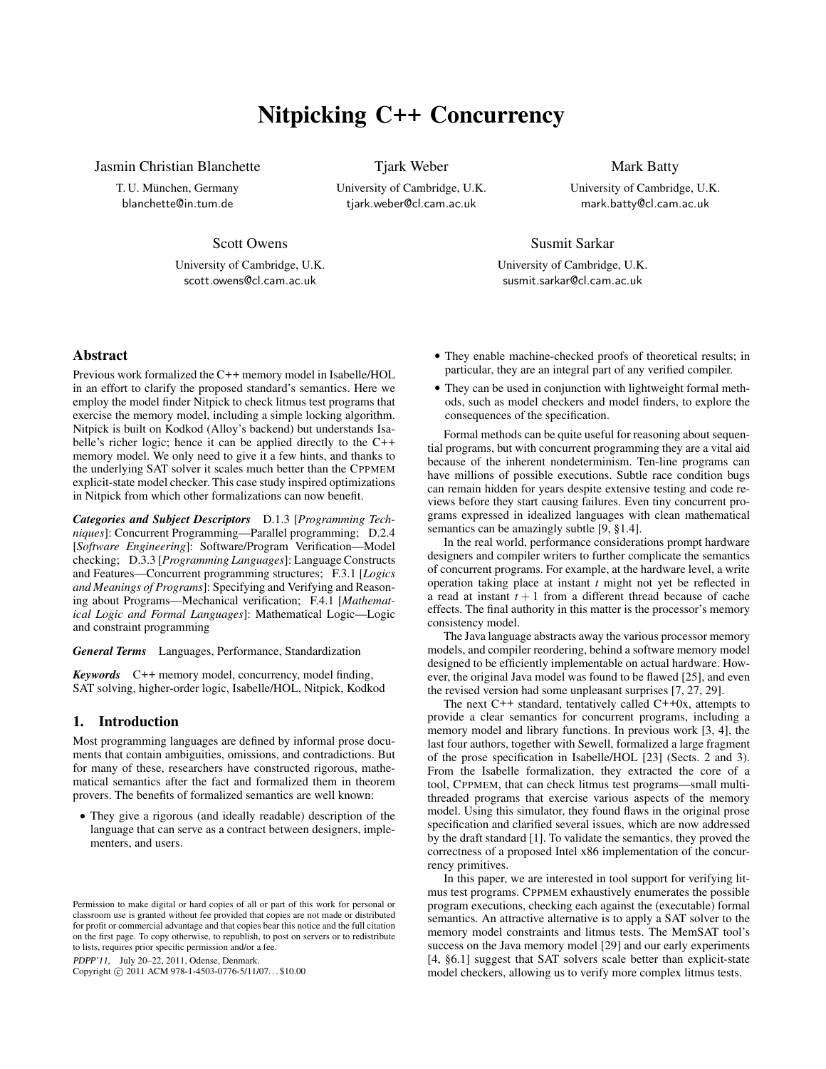# Nitpicking C++ Concurrency

Jasmin Christian Blanchette

T. U. München, Germany blanchette@in.tum.de

Tjark Weber University of Cambridge, U.K. tjark.weber@cl.cam.ac.uk

Mark Batty University of Cambridge, U.K. mark.batty@cl.cam.ac.uk

Scott Owens

University of Cambridge, U.K. scott.owens@cl.cam.ac.uk

Susmit Sarkar

University of Cambridge, U.K. susmit.sarkar@cl.cam.ac.uk

Abstract

Previous work formalized the C++ memory model in Isabelle/HOL in an effort to clarify the proposed standard's semantics. Here we employ the model finder Nitpick to check litmus test programs that exercise the memory model, including a simple locking algorithm. Nitpick is built on Kodkod (Alloy's backend) but understands Isabelle's richer logic; hence it can be applied directly to the C++ memory model. We only need to give it a few hints, and thanks to the underlying SAT solver it scales much better than the CPPMEM explicit-state model checker. This case study inspired optimizations in Nitpick from which other formalizations can now benefit.

*Categories and Subject Descriptors* D.1.3 [*Programming Techniques*]: Concurrent Programming—Parallel programming; D.2.4 [*Software Engineering*]: Software/Program Verification—Model checking; D.3.3 [*Programming Languages*]: Language Constructs and Features—Concurrent programming structures; F.3.1 [*Logics and Meanings of Programs*]: Specifying and Verifying and Reasoning about Programs—Mechanical verification; F.4.1 [*Mathematical Logic and Formal Languages*]: Mathematical Logic—Logic and constraint programming

*General Terms* Languages, Performance, Standardization

*Keywords* C++ memory model, concurrency, model finding, SAT solving, higher-order logic, Isabelle/HOL, Nitpick, Kodkod

## 1. Introduction

Most programming languages are defined by informal prose documents that contain ambiguities, omissions, and contradictions. But for many of these, researchers have constructed rigorous, mathematical semantics after the fact and formalized them in theorem provers. The benefits of formalized semantics are well known:

• They give a rigorous (and ideally readable) description of the language that can serve as a contract between designers, implementers, and users.

PDPP'11, July 20–22, 2011, Odense, Denmark.

Copyright © 2011 ACM 978-1-4503-0776-5/11/07... \$10.00

- They enable machine-checked proofs of theoretical results; in particular, they are an integral part of any verified compiler.
- They can be used in conjunction with lightweight formal methods, such as model checkers and model finders, to explore the consequences of the specification.

Formal methods can be quite useful for reasoning about sequential programs, but with concurrent programming they are a vital aid because of the inherent nondeterminism. Ten-line programs can have millions of possible executions. Subtle race condition bugs can remain hidden for years despite extensive testing and code reviews before they start causing failures. Even tiny concurrent programs expressed in idealized languages with clean mathematical semantics can be amazingly subtle [9, §1.4].

In the real world, performance considerations prompt hardware designers and compiler writers to further complicate the semantics of concurrent programs. For example, at the hardware level, a write operation taking place at instant *t* might not yet be reflected in a read at instant  $t + 1$  from a different thread because of cache effects. The final authority in this matter is the processor's memory consistency model.

The Java language abstracts away the various processor memory models, and compiler reordering, behind a software memory model designed to be efficiently implementable on actual hardware. However, the original Java model was found to be flawed [25], and even the revised version had some unpleasant surprises [7, 27, 29].

The next  $C++$  standard, tentatively called  $C++0x$ , attempts to provide a clear semantics for concurrent programs, including a memory model and library functions. In previous work [3, 4], the last four authors, together with Sewell, formalized a large fragment of the prose specification in Isabelle/HOL [23] (Sects. 2 and 3). From the Isabelle formalization, they extracted the core of a tool, CPPMEM, that can check litmus test programs—small multithreaded programs that exercise various aspects of the memory model. Using this simulator, they found flaws in the original prose specification and clarified several issues, which are now addressed by the draft standard [1]. To validate the semantics, they proved the correctness of a proposed Intel x86 implementation of the concurrency primitives.

In this paper, we are interested in tool support for verifying litmus test programs. CPPMEM exhaustively enumerates the possible program executions, checking each against the (executable) formal semantics. An attractive alternative is to apply a SAT solver to the memory model constraints and litmus tests. The MemSAT tool's success on the Java memory model [29] and our early experiments [4, §6.1] suggest that SAT solvers scale better than explicit-state model checkers, allowing us to verify more complex litmus tests.

Permission to make digital or hard copies of all or part of this work for personal or classroom use is granted without fee provided that copies are not made or distributed for profit or commercial advantage and that copies bear this notice and the full citation on the first page. To copy otherwise, to republish, to post on servers or to redistribute to lists, requires prior specific permission and/or a fee.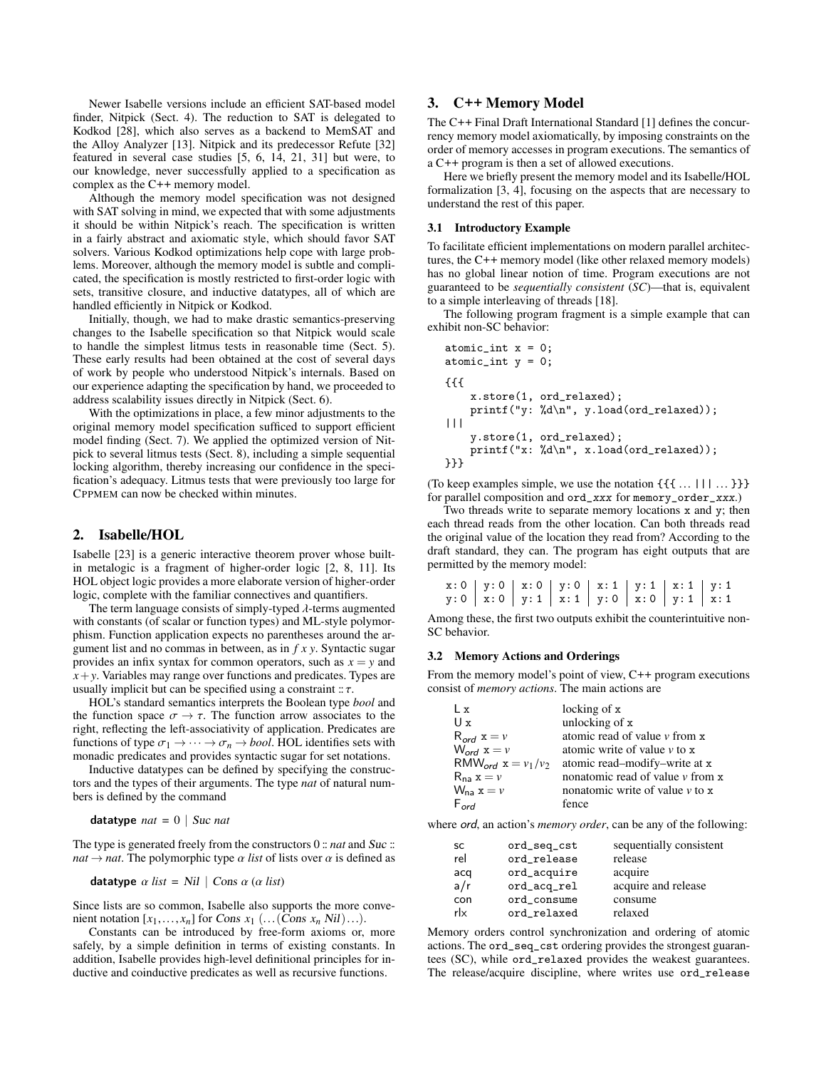Newer Isabelle versions include an efficient SAT-based model finder, Nitpick (Sect. 4). The reduction to SAT is delegated to Kodkod [28], which also serves as a backend to MemSAT and the Alloy Analyzer [13]. Nitpick and its predecessor Refute [32] featured in several case studies [5, 6, 14, 21, 31] but were, to our knowledge, never successfully applied to a specification as complex as the C++ memory model.

Although the memory model specification was not designed with SAT solving in mind, we expected that with some adjustments it should be within Nitpick's reach. The specification is written in a fairly abstract and axiomatic style, which should favor SAT solvers. Various Kodkod optimizations help cope with large problems. Moreover, although the memory model is subtle and complicated, the specification is mostly restricted to first-order logic with sets, transitive closure, and inductive datatypes, all of which are handled efficiently in Nitpick or Kodkod.

Initially, though, we had to make drastic semantics-preserving changes to the Isabelle specification so that Nitpick would scale to handle the simplest litmus tests in reasonable time (Sect. 5). These early results had been obtained at the cost of several days of work by people who understood Nitpick's internals. Based on our experience adapting the specification by hand, we proceeded to address scalability issues directly in Nitpick (Sect. 6).

With the optimizations in place, a few minor adjustments to the original memory model specification sufficed to support efficient model finding (Sect. 7). We applied the optimized version of Nitpick to several litmus tests (Sect. 8), including a simple sequential locking algorithm, thereby increasing our confidence in the specification's adequacy. Litmus tests that were previously too large for CPPMEM can now be checked within minutes.

# 2. Isabelle/HOL

Isabelle [23] is a generic interactive theorem prover whose builtin metalogic is a fragment of higher-order logic [2, 8, 11]. Its HOL object logic provides a more elaborate version of higher-order logic, complete with the familiar connectives and quantifiers.

The term language consists of simply-typed  $\lambda$ -terms augmented with constants (of scalar or function types) and ML-style polymorphism. Function application expects no parentheses around the argument list and no commas in between, as in *f x y*. Syntactic sugar provides an infix syntax for common operators, such as  $x = y$  and  $x + y$ . Variables may range over functions and predicates. Types are usually implicit but can be specified using a constraint  $\pi$ .

HOL's standard semantics interprets the Boolean type *bool* and the function space  $\sigma \to \tau$ . The function arrow associates to the right, reflecting the left-associativity of application. Predicates are functions of type  $\sigma_1 \rightarrow \cdots \rightarrow \sigma_n \rightarrow \text{bool}$ . HOL identifies sets with monadic predicates and provides syntactic sugar for set notations.

Inductive datatypes can be defined by specifying the constructors and the types of their arguments. The type *nat* of natural numbers is defined by the command

datatype  $nat = 0$  | Suc *nat* 

The type is generated freely from the constructors  $0$  :: *nat* and Suc :: *nat*  $\rightarrow$  *nat*. The polymorphic type  $\alpha$  *list* of lists over  $\alpha$  is defined as

$$
\mathbf{datatype} \ \alpha \ list = Nil \ | \ Cons \ \alpha \ (a \ list)
$$

Since lists are so common, Isabelle also supports the more convenient notation  $[x_1,...,x_n]$  for Cons  $x_1$  (...(Cons  $x_n$  Nil)...).

Constants can be introduced by free-form axioms or, more safely, by a simple definition in terms of existing constants. In addition, Isabelle provides high-level definitional principles for inductive and coinductive predicates as well as recursive functions.

# 3. C++ Memory Model

The C++ Final Draft International Standard [1] defines the concurrency memory model axiomatically, by imposing constraints on the order of memory accesses in program executions. The semantics of a C++ program is then a set of allowed executions.

Here we briefly present the memory model and its Isabelle/HOL formalization [3, 4], focusing on the aspects that are necessary to understand the rest of this paper.

#### 3.1 Introductory Example

To facilitate efficient implementations on modern parallel architectures, the C++ memory model (like other relaxed memory models) has no global linear notion of time. Program executions are not guaranteed to be *sequentially consistent* (*SC*)—that is, equivalent to a simple interleaving of threads [18].

The following program fragment is a simple example that can exhibit non-SC behavior:

```
atomic\_int x = 0;atomic_int y = 0;
{{{
    x.store(1, ord_relaxed);
    printf("y: %d\n", y.load(ord_relaxed));
|||
    y.store(1, ord_relaxed);
    printf("x: %d\n", x.load(ord_relaxed));
}}}
```
(To keep examples simple, we use the notation  $\{\{\{\ldots, \ldots\}\}\}\$ for parallel composition and ord\_xxx for memory\_order\_xxx.)

Two threads write to separate memory locations x and y; then each thread reads from the other location. Can both threads read the original value of the location they read from? According to the draft standard, they can. The program has eight outputs that are permitted by the memory model:

|  | $x: 0   y: 0   x: 0   y: 0   x: 1   y: 1   x: 1   y: 1$                      |  |  |  |
|--|------------------------------------------------------------------------------|--|--|--|
|  | $y: 0 \mid x: 0 \mid y: 1 \mid x: 1 \mid y: 0 \mid x: 0 \mid y: 1 \mid x: 1$ |  |  |  |

Among these, the first two outputs exhibit the counterintuitive non-SC behavior.

#### 3.2 Memory Actions and Orderings

From the memory model's point of view, C++ program executions consist of *memory actions*. The main actions are

| Ιx                               | locking of x                         |
|----------------------------------|--------------------------------------|
| $U_x$                            | unlocking of x                       |
| $R_{\text{ord}} x = v$           | atomic read of value $\nu$ from x    |
| $W_{\text{ord}}$ $x = v$         | atomic write of value $\nu$ to x     |
| RMW <sub>ord</sub> $x = v_1/v_2$ | atomic read-modify-write at x        |
| $R_{na} x = v$                   | nonatomic read of value $\nu$ from x |
| $W_{na} x = v$                   | nonatomic write of value $\nu$ to x  |
| $F_{\alpha r d}$                 | fence                                |

where ord, an action's *memory order*, can be any of the following:

| SC  | ord_seq_cst | sequentially consistent |
|-----|-------------|-------------------------|
| rel | ord_release | release                 |
| acq | ord_acquire | acquire                 |
| a/r | ord_acq_rel | acquire and release     |
| con | ord_consume | consume                 |
| rlx | ord_relaxed | relaxed                 |

Memory orders control synchronization and ordering of atomic actions. The ord\_seq\_cst ordering provides the strongest guarantees (SC), while ord\_relaxed provides the weakest guarantees. The release/acquire discipline, where writes use ord\_release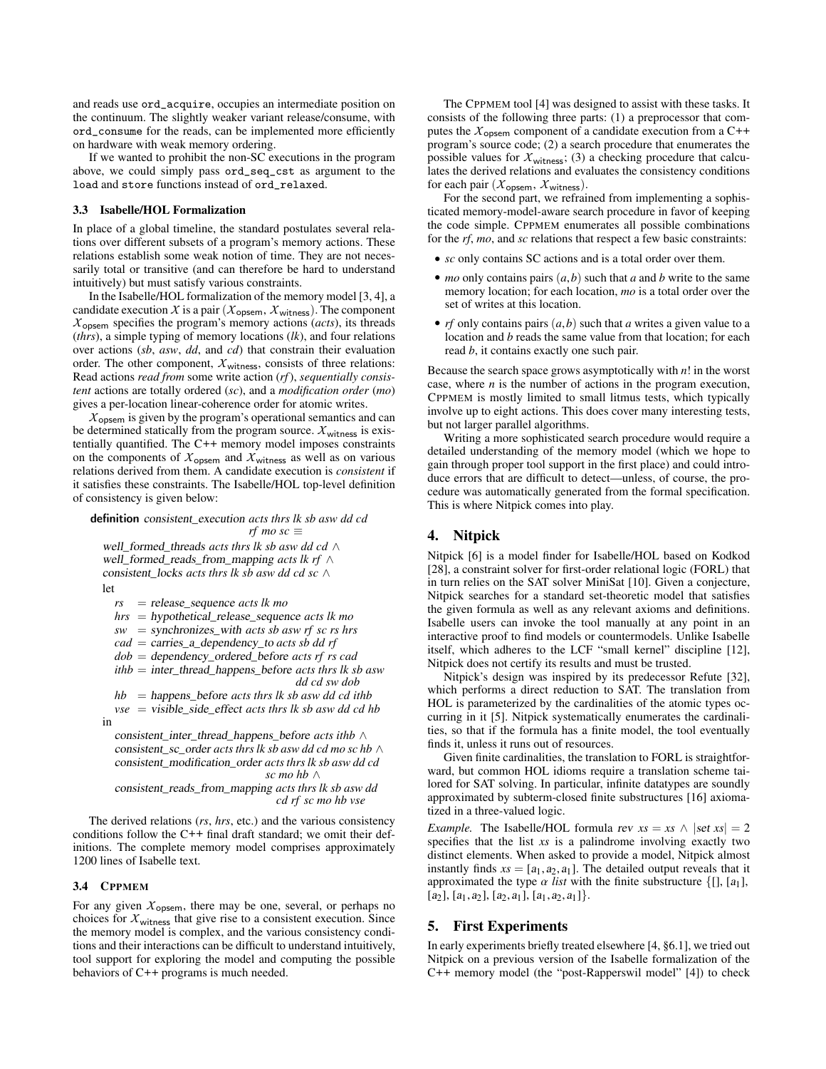and reads use ord\_acquire, occupies an intermediate position on the continuum. The slightly weaker variant release/consume, with ord\_consume for the reads, can be implemented more efficiently on hardware with weak memory ordering.

If we wanted to prohibit the non-SC executions in the program above, we could simply pass ord\_seq\_cst as argument to the load and store functions instead of ord\_relaxed.

#### 3.3 Isabelle/HOL Formalization

In place of a global timeline, the standard postulates several relations over different subsets of a program's memory actions. These relations establish some weak notion of time. They are not necessarily total or transitive (and can therefore be hard to understand intuitively) but must satisfy various constraints.

In the Isabelle/HOL formalization of the memory model [3, 4], a candidate execution  $X$  is a pair ( $X_{\text{opsem}}, X_{\text{witness}}$ ). The component *X*opsem specifies the program's memory actions (*acts*), its threads (*thrs*), a simple typing of memory locations (*lk*), and four relations over actions (*sb*, *asw*, *dd*, and *cd*) that constrain their evaluation order. The other component,  $X_{\text{witness}}$ , consists of three relations: Read actions *read from* some write action (*rf*), *sequentially consistent* actions are totally ordered (*sc*), and a *modification order* (*mo*) gives a per-location linear-coherence order for atomic writes.

 $X_{\text{opsem}}$  is given by the program's operational semantics and can be determined statically from the program source.  $X_{\text{witness}}$  is existentially quantified. The C++ memory model imposes constraints on the components of  $X_{\text{opsem}}$  and  $X_{\text{witness}}$  as well as on various relations derived from them. A candidate execution is *consistent* if it satisfies these constraints. The Isabelle/HOL top-level definition of consistency is given below:

## definition consistent\_execution *acts thrs lk sb asw dd cd rf mo*  $sc \equiv$

well\_formed\_threads *acts thrs lk sb asw dd cd* ∧ well\_formed\_reads\_from\_mapping *acts lk rf* ∧ consistent\_locks *acts thrs lk sb asw dd cd sc* ∧ let

*rs* = release\_sequence *acts lk mo*

*hrs* = hypothetical\_release\_sequence *acts lk mo*

*sw* = synchronizes\_with *acts sb asw rf sc rs hrs*

*cad* = carries\_a\_dependency\_to *acts sb dd rf*

*dob* = dependency\_ordered\_before *acts rf rs cad*

*ithb* = inter\_thread\_happens\_before *acts thrs lk sb asw dd cd sw dob*

*hb* = happens\_before *acts thrs lk sb asw dd cd ithb*  $vse$  = visible side effect *acts thrs lk sb asw dd cd hb* in

consistent\_inter\_thread\_happens\_before *acts ithb* ∧ consistent\_sc\_order *acts thrs lk sb asw dd cd mo sc hb* ∧ consistent\_modification\_order *acts thrs lk sb asw dd cd sc mo hb* ∧ consistent\_reads\_from\_mapping *acts thrs lk sb asw dd cd rf sc mo hb vse*

The derived relations (*rs*, *hrs*, etc.) and the various consistency conditions follow the C++ final draft standard; we omit their definitions. The complete memory model comprises approximately 1200 lines of Isabelle text.

#### 3.4 CPPMEM

For any given  $X_{\text{opsem}}$ , there may be one, several, or perhaps no choices for  $X_{\text{witness}}$  that give rise to a consistent execution. Since the memory model is complex, and the various consistency conditions and their interactions can be difficult to understand intuitively, tool support for exploring the model and computing the possible behaviors of C++ programs is much needed.

The CPPMEM tool [4] was designed to assist with these tasks. It consists of the following three parts: (1) a preprocessor that computes the  $X_{\text{opsem}}$  component of a candidate execution from a C++ program's source code; (2) a search procedure that enumerates the possible values for  $X_{\text{witness}}$ ; (3) a checking procedure that calculates the derived relations and evaluates the consistency conditions for each pair (*X*opsem, *<sup>X</sup>* witness).

For the second part, we refrained from implementing a sophisticated memory-model-aware search procedure in favor of keeping the code simple. CPPMEM enumerates all possible combinations for the *rf*, *mo*, and *sc* relations that respect a few basic constraints:

- *sc* only contains SC actions and is a total order over them.
- *mo* only contains pairs (*a*,*b*) such that *<sup>a</sup>* and *<sup>b</sup>* write to the same memory location; for each location, *mo* is a total order over the set of writes at this location.
- *rf* only contains pairs (*a*,*b*) such that *<sup>a</sup>* writes a given value to a location and *b* reads the same value from that location; for each read *b*, it contains exactly one such pair.

Because the search space grows asymptotically with *n*! in the worst case, where *n* is the number of actions in the program execution, CPPMEM is mostly limited to small litmus tests, which typically involve up to eight actions. This does cover many interesting tests, but not larger parallel algorithms.

Writing a more sophisticated search procedure would require a detailed understanding of the memory model (which we hope to gain through proper tool support in the first place) and could introduce errors that are difficult to detect—unless, of course, the procedure was automatically generated from the formal specification. This is where Nitpick comes into play.

## 4. Nitpick

Nitpick [6] is a model finder for Isabelle/HOL based on Kodkod [28], a constraint solver for first-order relational logic (FORL) that in turn relies on the SAT solver MiniSat [10]. Given a conjecture, Nitpick searches for a standard set-theoretic model that satisfies the given formula as well as any relevant axioms and definitions. Isabelle users can invoke the tool manually at any point in an interactive proof to find models or countermodels. Unlike Isabelle itself, which adheres to the LCF "small kernel" discipline [12], Nitpick does not certify its results and must be trusted.

Nitpick's design was inspired by its predecessor Refute [32], which performs a direct reduction to SAT. The translation from HOL is parameterized by the cardinalities of the atomic types occurring in it [5]. Nitpick systematically enumerates the cardinalities, so that if the formula has a finite model, the tool eventually finds it, unless it runs out of resources.

Given finite cardinalities, the translation to FORL is straightforward, but common HOL idioms require a translation scheme tailored for SAT solving. In particular, infinite datatypes are soundly approximated by subterm-closed finite substructures [16] axiomatized in a three-valued logic.

*Example.* The Isabelle/HOL formula rev  $xs = xs \wedge |set xs| = 2$ specifies that the list *xs* is a palindrome involving exactly two distinct elements. When asked to provide a model, Nitpick almost instantly finds  $xs = [a_1, a_2, a_1]$ . The detailed output reveals that it approximated the type  $\alpha$  *list* with the finite substructure  $\{[], [a_1],$  $[a_2], [a_1, a_2], [a_2, a_1], [a_1, a_2, a_1].$ 

# 5. First Experiments

In early experiments briefly treated elsewhere [4, §6.1], we tried out Nitpick on a previous version of the Isabelle formalization of the C++ memory model (the "post-Rapperswil model" [4]) to check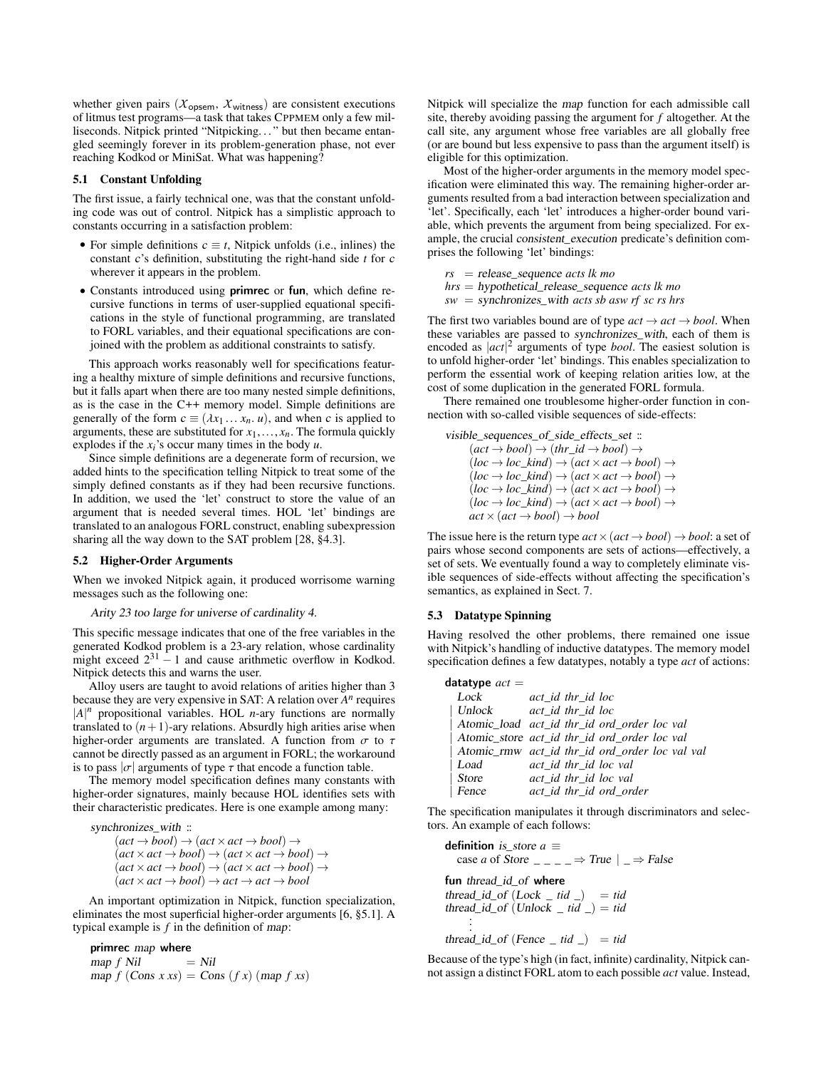whether given pairs ( $\chi$ <sub>opsem</sub>,  $\chi$ <sub>witness</sub>) are consistent executions of litmus test programs—a task that takes CPPMEM only a few milliseconds. Nitpick printed "Nitpicking. . . " but then became entangled seemingly forever in its problem-generation phase, not ever reaching Kodkod or MiniSat. What was happening?

#### 5.1 Constant Unfolding

The first issue, a fairly technical one, was that the constant unfolding code was out of control. Nitpick has a simplistic approach to constants occurring in a satisfaction problem:

- For simple definitions  $c \equiv t$ , Nitpick unfolds (i.e., inlines) the constant c's definition, substituting the right-hand side *t* for c wherever it appears in the problem.
- Constants introduced using primrec or fun, which define recursive functions in terms of user-supplied equational specifications in the style of functional programming, are translated to FORL variables, and their equational specifications are conjoined with the problem as additional constraints to satisfy.

This approach works reasonably well for specifications featuring a healthy mixture of simple definitions and recursive functions, but it falls apart when there are too many nested simple definitions, as is the case in the C++ memory model. Simple definitions are generally of the form  $c \equiv (\lambda x_1 \ldots x_n, u)$ , and when c is applied to arguments, these are substituted for  $x_1, \ldots, x_n$ . The formula quickly explodes if the  $x_i$ 's occur many times in the body  $u$ .

Since simple definitions are a degenerate form of recursion, we added hints to the specification telling Nitpick to treat some of the simply defined constants as if they had been recursive functions. In addition, we used the 'let' construct to store the value of an argument that is needed several times. HOL 'let' bindings are translated to an analogous FORL construct, enabling subexpression sharing all the way down to the SAT problem [28, §4.3].

#### 5.2 Higher-Order Arguments

When we invoked Nitpick again, it produced worrisome warning messages such as the following one:

#### Arity 23 too large for universe of cardinality 4.

This specific message indicates that one of the free variables in the generated Kodkod problem is a 23-ary relation, whose cardinality might exceed  $2^{31} - 1$  and cause arithmetic overflow in Kodkod. Nitpick detects this and warns the user.

Alloy users are taught to avoid relations of arities higher than 3 because they are very expensive in SAT: A relation over *A n* requires  $|A|^n$  propositional variables. HOL *n*-ary functions are normally translated to  $(n+1)$ -ary relations. Absurdly high arities arise when higher-order arguments are translated. A function from  $\sigma$  to  $\tau$ cannot be directly passed as an argument in FORL; the workaround is to pass  $|\sigma|$  arguments of type  $\tau$  that encode a function table.

The memory model specification defines many constants with higher-order signatures, mainly because HOL identifies sets with their characteristic predicates. Here is one example among many:

synchronizes\_with ::

 $(act \rightarrow bool) \rightarrow (act \times act \rightarrow bool) \rightarrow$  $(ac \times act \rightarrow bool) \rightarrow (act \times act \rightarrow bool) \rightarrow$  $(ac \times act \rightarrow bool) \rightarrow (act \times act \rightarrow bool) \rightarrow$  $(ac \times act \rightarrow bool) \rightarrow act \rightarrow act \rightarrow bool$ 

An important optimization in Nitpick, function specialization, eliminates the most superficial higher-order arguments [6, §5.1]. A typical example is *f* in the definition of map:

primrec map where<br>  $map f Nil = Nil$ map *f* Nil  $map f (Cons x x s) = Cons (fx) (map f x s)$  Nitpick will specialize the map function for each admissible call site, thereby avoiding passing the argument for *f* altogether. At the call site, any argument whose free variables are all globally free (or are bound but less expensive to pass than the argument itself) is eligible for this optimization.

Most of the higher-order arguments in the memory model specification were eliminated this way. The remaining higher-order arguments resulted from a bad interaction between specialization and 'let'. Specifically, each 'let' introduces a higher-order bound variable, which prevents the argument from being specialized. For example, the crucial consistent\_execution predicate's definition comprises the following 'let' bindings:

*rs* = release\_sequence *acts lk mo hrs* = hypothetical\_release\_sequence *acts lk mo*  $sw =$  synchronizes with *acts sb asw rf sc rs hrs* 

The first two variables bound are of type  $act \rightarrow act \rightarrow bool$ . When these variables are passed to synchronizes\_with, each of them is encoded as  $|act|^2$  arguments of type *bool*. The easiest solution is to unfold higher-order 'let' bindings. This enables specialization to perform the essential work of keeping relation arities low, at the cost of some duplication in the generated FORL formula.

There remained one troublesome higher-order function in connection with so-called visible sequences of side-effects:

visible\_sequences\_of\_side\_effects\_set ::  $(act \rightarrow bool) \rightarrow (thr \, id \rightarrow bool) \rightarrow$  $(loc \rightarrow loc\_kind) \rightarrow (act \times act \rightarrow bool) \rightarrow$  $(loc \rightarrow loc\_kind) \rightarrow (act \times act \rightarrow bool) \rightarrow$  $(loc \rightarrow loc\_kind) \rightarrow (act \times act \rightarrow bool) \rightarrow$  $(loc \rightarrow loc_kind) \rightarrow (act \times act \rightarrow bool) \rightarrow$  $act \times (act \rightarrow bool) \rightarrow bool$ 

The issue here is the return type  $act \times (act \rightarrow bool) \rightarrow bool$ : a set of pairs whose second components are sets of actions—effectively, a set of sets. We eventually found a way to completely eliminate visible sequences of side-effects without affecting the specification's semantics, as explained in Sect. 7.

#### 5.3 Datatype Spinning

Having resolved the other problems, there remained one issue with Nitpick's handling of inductive datatypes. The memory model specification defines a few datatypes, notably a type *act* of actions:

| datatype $act =$ |                                                |
|------------------|------------------------------------------------|
| Lock             | act id thr id loc                              |
|                  | Unlock act id thr id loc                       |
|                  | Atomic_load act_id_thr_id_ord_order_loc_val    |
|                  | Atomic_store act_id_thr_id_ord_order_loc_val   |
|                  | Atomic_rmw_act_id_thr_id_ord_order_loc_val_val |
| Load             | act id thr id loc val                          |
| Store            | act_id_thr_id_loc_val                          |
| Fence            | act_id thr_id ord_order                        |
|                  |                                                |

The specification manipulates it through discriminators and selectors. An example of each follows:

definition *is\_store*  $a \equiv$ case *a* of Store \_ \_ \_ \_ ⇒ True | \_ ⇒ False fun thread\_id\_of where  $thread_id_of (Lock  $\_tid \_) = tid$$ thread\_id\_of  $(Unlock \_ tid \_) = tid$ . .  $thread_id_of(Fence$   $_id$ )  $= tid$ 

Because of the type's high (in fact, infinite) cardinality, Nitpick cannot assign a distinct FORL atom to each possible *act* value. Instead,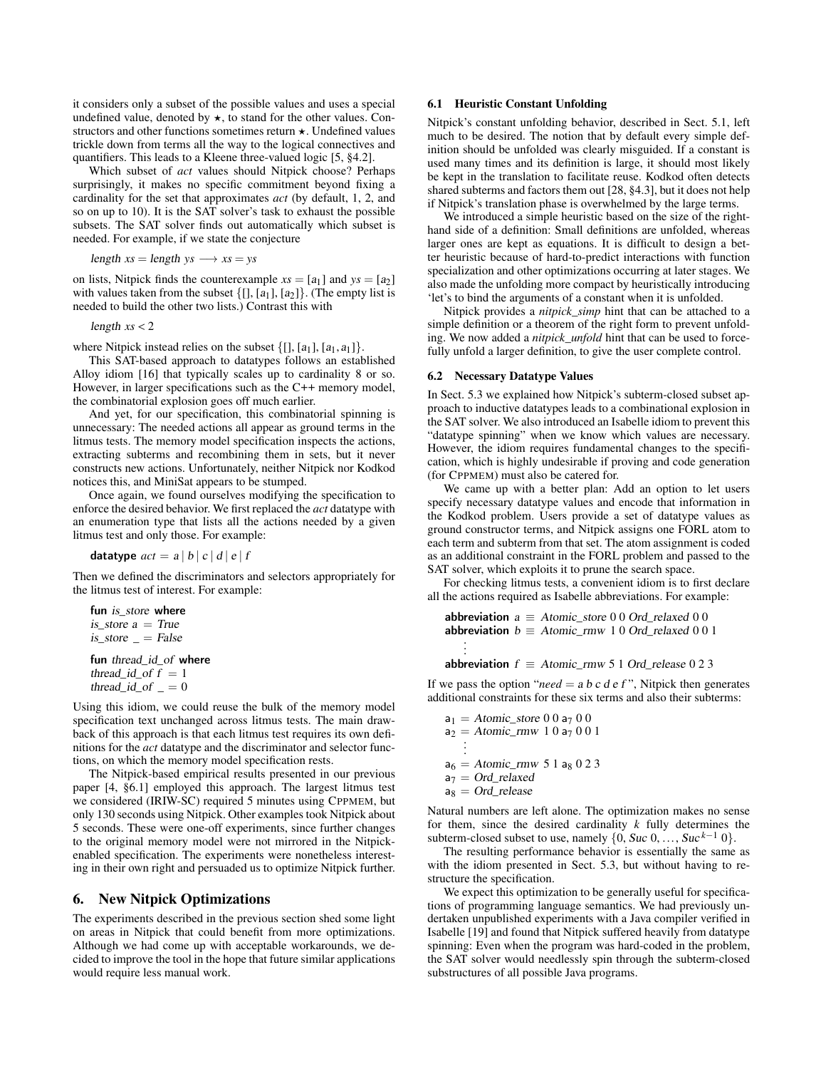it considers only a subset of the possible values and uses a special undefined value, denoted by  $\star$ , to stand for the other values. Constructors and other functions sometimes return  $\star$ . Undefined values trickle down from terms all the way to the logical connectives and quantifiers. This leads to a Kleene three-valued logic [5, §4.2].

Which subset of *act* values should Nitpick choose? Perhaps surprisingly, it makes no specific commitment beyond fixing a cardinality for the set that approximates *act* (by default, 1, 2, and so on up to 10). It is the SAT solver's task to exhaust the possible subsets. The SAT solver finds out automatically which subset is needed. For example, if we state the conjecture

length  $xs =$  length  $ys \rightarrow xs = ys$ 

on lists, Nitpick finds the counterexample  $xs = [a_1]$  and  $ys = [a_2]$ with values taken from the subset  $\{[], [a_1], [a_2]\}$ . (The empty list is needed to build the other two lists.) Contrast this with

length *xs* < <sup>2</sup>

where Nitpick instead relies on the subset  $\{[], [a_1], [a_1, a_1]\}.$ 

This SAT-based approach to datatypes follows an established Alloy idiom [16] that typically scales up to cardinality 8 or so. However, in larger specifications such as the C++ memory model, the combinatorial explosion goes off much earlier.

And yet, for our specification, this combinatorial spinning is unnecessary: The needed actions all appear as ground terms in the litmus tests. The memory model specification inspects the actions, extracting subterms and recombining them in sets, but it never constructs new actions. Unfortunately, neither Nitpick nor Kodkod notices this, and MiniSat appears to be stumped.

Once again, we found ourselves modifying the specification to enforce the desired behavior. We first replaced the *act* datatype with an enumeration type that lists all the actions needed by a given litmus test and only those. For example:

datatype  $act = a | b | c | d | e | f$ 

Then we defined the discriminators and selectors appropriately for the litmus test of interest. For example:

```
fun is_store where
is_store a = Trueis\_store = False
```
fun thread id of where thread id of  $f = 1$ thread\_id\_of  $= 0$ 

Using this idiom, we could reuse the bulk of the memory model specification text unchanged across litmus tests. The main drawback of this approach is that each litmus test requires its own definitions for the *act* datatype and the discriminator and selector functions, on which the memory model specification rests.

The Nitpick-based empirical results presented in our previous paper [4, §6.1] employed this approach. The largest litmus test we considered (IRIW-SC) required 5 minutes using CPPMEM, but only 130 seconds using Nitpick. Other examples took Nitpick about 5 seconds. These were one-off experiments, since further changes to the original memory model were not mirrored in the Nitpickenabled specification. The experiments were nonetheless interesting in their own right and persuaded us to optimize Nitpick further.

# 6. New Nitpick Optimizations

The experiments described in the previous section shed some light on areas in Nitpick that could benefit from more optimizations. Although we had come up with acceptable workarounds, we decided to improve the tool in the hope that future similar applications would require less manual work.

## 6.1 Heuristic Constant Unfolding

Nitpick's constant unfolding behavior, described in Sect. 5.1, left much to be desired. The notion that by default every simple definition should be unfolded was clearly misguided. If a constant is used many times and its definition is large, it should most likely be kept in the translation to facilitate reuse. Kodkod often detects shared subterms and factors them out [28, §4.3], but it does not help if Nitpick's translation phase is overwhelmed by the large terms.

We introduced a simple heuristic based on the size of the righthand side of a definition: Small definitions are unfolded, whereas larger ones are kept as equations. It is difficult to design a better heuristic because of hard-to-predict interactions with function specialization and other optimizations occurring at later stages. We also made the unfolding more compact by heuristically introducing 'let's to bind the arguments of a constant when it is unfolded.

Nitpick provides a *nitpick\_simp* hint that can be attached to a simple definition or a theorem of the right form to prevent unfolding. We now added a *nitpick\_unfold* hint that can be used to forcefully unfold a larger definition, to give the user complete control.

#### 6.2 Necessary Datatype Values

In Sect. 5.3 we explained how Nitpick's subterm-closed subset approach to inductive datatypes leads to a combinational explosion in the SAT solver. We also introduced an Isabelle idiom to prevent this "datatype spinning" when we know which values are necessary. However, the idiom requires fundamental changes to the specification, which is highly undesirable if proving and code generation (for CPPMEM) must also be catered for.

We came up with a better plan: Add an option to let users specify necessary datatype values and encode that information in the Kodkod problem. Users provide a set of datatype values as ground constructor terms, and Nitpick assigns one FORL atom to each term and subterm from that set. The atom assignment is coded as an additional constraint in the FORL problem and passed to the SAT solver, which exploits it to prune the search space.

For checking litmus tests, a convenient idiom is to first declare all the actions required as Isabelle abbreviations. For example:

```
abbreviation a \equiv Atomic_store 0 0 Ord_relaxed 0 0
abbreviation b \equiv Atomic_rmw 1 0 Ord_relaxed 0 0 1
    .
    .
    .
```

```
abbreviation f \equiv Atomic_rmw 5 1 Ord_release 0 2 3
```
If we pass the option "*need* = a b c d e f", Nitpick then generates additional constraints for these six terms and also their subterms:

 $a_1 = Atomic\_store\ 0\ 0\ a_7\ 0\ 0$  $a_2 =$  Atomic\_rmw 1 0  $a_7$  0 0 1 . .  $a_6 = Atomic\_rmw 5 1 a_8 0 2 3$  $a_7 = Ord$  relaxed  $a_8 = Ord$  release

Natural numbers are left alone. The optimization makes no sense for them, since the desired cardinality *k* fully determines the subterm-closed subset to use, namely  $\{0, Suc\ 0, \ldots, Suc^{k-1}0\}.$ 

The resulting performance behavior is essentially the same as with the idiom presented in Sect. 5.3, but without having to restructure the specification.

We expect this optimization to be generally useful for specifications of programming language semantics. We had previously undertaken unpublished experiments with a Java compiler verified in Isabelle [19] and found that Nitpick suffered heavily from datatype spinning: Even when the program was hard-coded in the problem, the SAT solver would needlessly spin through the subterm-closed substructures of all possible Java programs.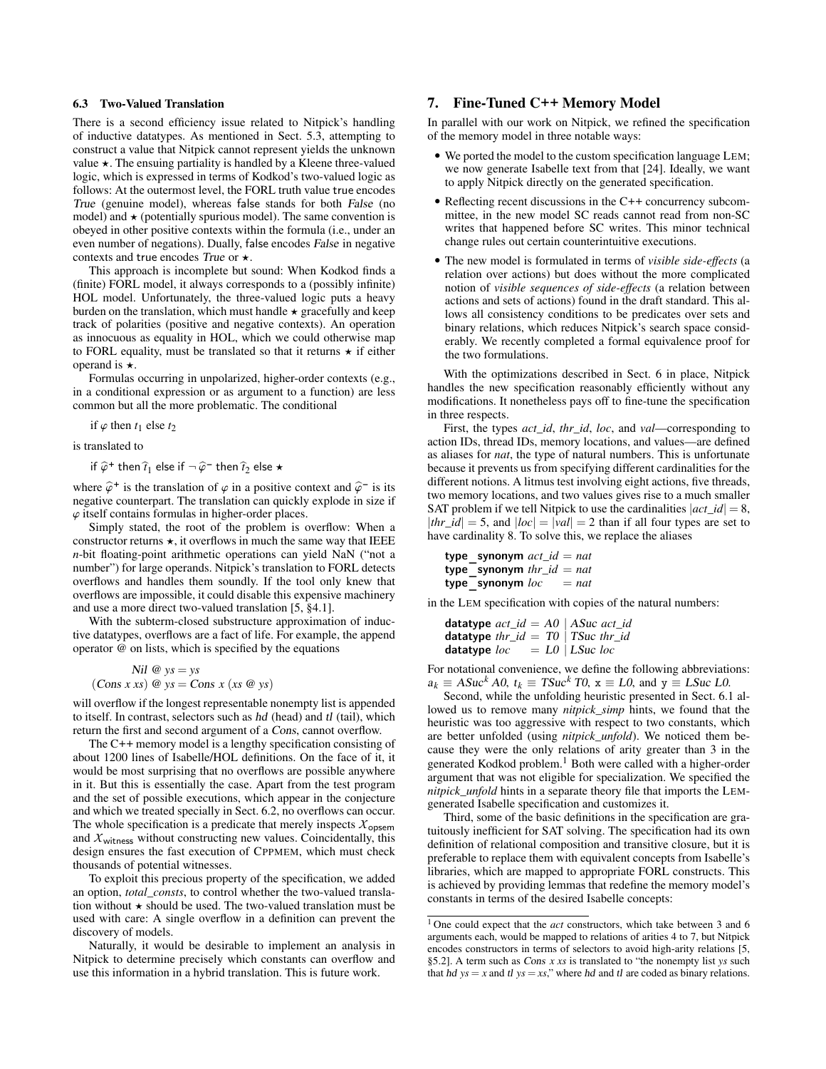## 6.3 Two-Valued Translation

There is a second efficiency issue related to Nitpick's handling of inductive datatypes. As mentioned in Sect. 5.3, attempting to construct a value that Nitpick cannot represent yields the unknown value  $\star$ . The ensuing partiality is handled by a Kleene three-valued logic, which is expressed in terms of Kodkod's two-valued logic as follows: At the outermost level, the FORL truth value true encodes True (genuine model), whereas false stands for both False (no model) and  $\star$  (potentially spurious model). The same convention is obeyed in other positive contexts within the formula (i.e., under an even number of negations). Dually, false encodes False in negative contexts and true encodes True or  $\star$ .

This approach is incomplete but sound: When Kodkod finds a (finite) FORL model, it always corresponds to a (possibly infinite) HOL model. Unfortunately, the three-valued logic puts a heavy burden on the translation, which must handle  $\star$  gracefully and keep track of polarities (positive and negative contexts). An operation as innocuous as equality in HOL, which we could otherwise map to FORL equality, must be translated so that it returns  $\star$  if either operand is  $\star$ .

Formulas occurring in unpolarized, higher-order contexts (e.g., in a conditional expression or as argument to a function) are less common but all the more problematic. The conditional

if  $\varphi$  then  $t_1$  else  $t_2$ 

is translated to

if  $\widehat{\varphi}^+$  then  $\widehat{t}_1$  else if  $\neg \widehat{\varphi}^-$  then  $\widehat{t}_2$  else  $\star$ 

where  $\hat{\varphi}^+$  is the translation of  $\varphi$  in a positive context and  $\hat{\varphi}^-$  is its negative counternart. The translation can quickly explode in size if negative counterpart. The translation can quickly explode in size if  $\varphi$  itself contains formulas in higher-order places.

Simply stated, the root of the problem is overflow: When a constructor returns  $\star$ , it overflows in much the same way that IEEE *n*-bit floating-point arithmetic operations can yield NaN ("not a number") for large operands. Nitpick's translation to FORL detects overflows and handles them soundly. If the tool only knew that overflows are impossible, it could disable this expensive machinery and use a more direct two-valued translation [5, §4.1].

With the subterm-closed substructure approximation of inductive datatypes, overflows are a fact of life. For example, the append operator @ on lists, which is specified by the equations

 $Nil \otimes ys = ys$  $(Cons x xs) @ ys = Cons x (xs @ ys)$ 

will overflow if the longest representable nonempty list is appended to itself. In contrast, selectors such as hd (head) and tl (tail), which return the first and second argument of a Cons, cannot overflow.

The C++ memory model is a lengthy specification consisting of about 1200 lines of Isabelle/HOL definitions. On the face of it, it would be most surprising that no overflows are possible anywhere in it. But this is essentially the case. Apart from the test program and the set of possible executions, which appear in the conjecture and which we treated specially in Sect. 6.2, no overflows can occur. The whole specification is a predicate that merely inspects  $X_{\text{opsem}}$ and  $X_{\text{witness}}$  without constructing new values. Coincidentally, this design ensures the fast execution of CPPMEM, which must check thousands of potential witnesses.

To exploit this precious property of the specification, we added an option, *total\_consts*, to control whether the two-valued translation without  $\star$  should be used. The two-valued translation must be used with care: A single overflow in a definition can prevent the discovery of models.

Naturally, it would be desirable to implement an analysis in Nitpick to determine precisely which constants can overflow and use this information in a hybrid translation. This is future work.

# 7. Fine-Tuned C++ Memory Model

In parallel with our work on Nitpick, we refined the specification of the memory model in three notable ways:

- We ported the model to the custom specification language LEM; we now generate Isabelle text from that [24]. Ideally, we want to apply Nitpick directly on the generated specification.
- Reflecting recent discussions in the C++ concurrency subcommittee, in the new model SC reads cannot read from non-SC writes that happened before SC writes. This minor technical change rules out certain counterintuitive executions.
- The new model is formulated in terms of *visible side-effects* (a relation over actions) but does without the more complicated notion of *visible sequences of side-effects* (a relation between actions and sets of actions) found in the draft standard. This allows all consistency conditions to be predicates over sets and binary relations, which reduces Nitpick's search space considerably. We recently completed a formal equivalence proof for the two formulations.

With the optimizations described in Sect. 6 in place, Nitpick handles the new specification reasonably efficiently without any modifications. It nonetheless pays off to fine-tune the specification in three respects.

First, the types *act\_id*, *thr\_id*, *loc*, and *val*—corresponding to action IDs, thread IDs, memory locations, and values—are defined as aliases for *nat*, the type of natural numbers. This is unfortunate because it prevents us from specifying different cardinalities for the different notions. A litmus test involving eight actions, five threads, two memory locations, and two values gives rise to a much smaller SAT problem if we tell Nitpick to use the cardinalities  $|act_id| = 8$ ,  $|thr\_id| = 5$ , and  $|loc| = |val| = 2$  than if all four types are set to have cardinality 8. To solve this, we replace the aliases

| type synonym $act\_id = nat$ |  |         |
|------------------------------|--|---------|
| type synonym $thr\_id = nat$ |  |         |
| type synonym loc             |  | $= nat$ |

in the LEM specification with copies of the natural numbers:

| <b>datatype</b> $act\_id = A0$   ASuc $act\_id$ |  |                   |  |
|-------------------------------------------------|--|-------------------|--|
| datatype thr_id = $T0$   TSuc thr_id            |  |                   |  |
| datatype loc                                    |  | $= L0$   LSuc loc |  |

For notational convenience, we define the following abbreviations:  $a_k \equiv ASuc^k A0$ ,  $t_k \equiv TSuc^k TO$ ,  $x \equiv L0$ , and  $y \equiv LSuc$  *LO*.

Second, while the unfolding heuristic presented in Sect. 6.1 allowed us to remove many *nitpick\_simp* hints, we found that the heuristic was too aggressive with respect to two constants, which are better unfolded (using *nitpick\_unfold*). We noticed them because they were the only relations of arity greater than 3 in the generated Kodkod problem.<sup>1</sup> Both were called with a higher-order argument that was not eligible for specialization. We specified the *nitpick\_unfold* hints in a separate theory file that imports the LEMgenerated Isabelle specification and customizes it.

Third, some of the basic definitions in the specification are gratuitously inefficient for SAT solving. The specification had its own definition of relational composition and transitive closure, but it is preferable to replace them with equivalent concepts from Isabelle's libraries, which are mapped to appropriate FORL constructs. This is achieved by providing lemmas that redefine the memory model's constants in terms of the desired Isabelle concepts:

<sup>1</sup> One could expect that the *act* constructors, which take between 3 and 6 arguments each, would be mapped to relations of arities 4 to 7, but Nitpick encodes constructors in terms of selectors to avoid high-arity relations [5, §5.2]. A term such as Cons *x xs* is translated to "the nonempty list *ys* such that hd  $ys = x$  and tl  $ys = xs$ ," where hd and tl are coded as binary relations.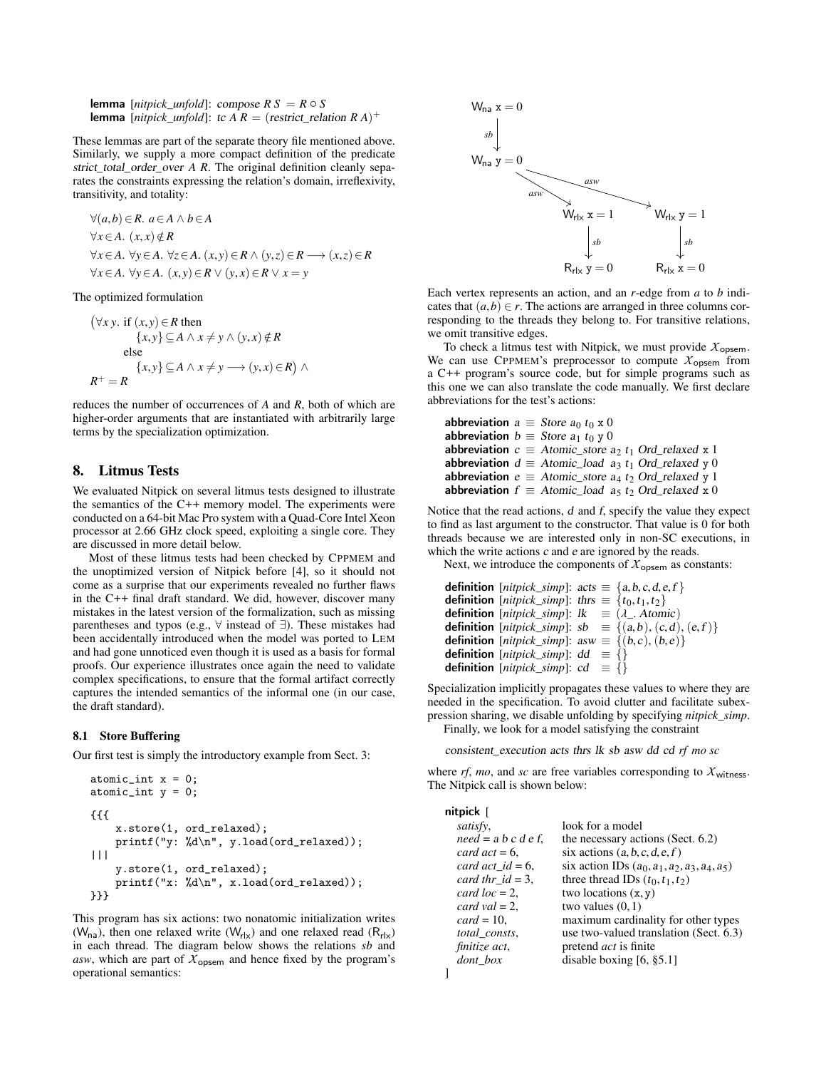lemma [ $nitpick\_unfold$ ]: compose  $RS = R \circ S$ **lemma** [*nitpick\_unfold*]: tc  $\overline{A}R =$  (*restrict\_relation*  $R A$ )<sup>+</sup>

These lemmas are part of the separate theory file mentioned above. Similarly, we supply a more compact definition of the predicate strict total order over *A R*. The original definition cleanly separates the constraints expressing the relation's domain, irreflexivity, transitivity, and totality:

$$
\forall (a,b) \in R. \ a \in A \land b \in A
$$
  
\n
$$
\forall x \in A. \ (x,x) \notin R
$$
  
\n
$$
\forall x \in A. \ \forall y \in A. \ \forall z \in A. \ (x,y) \in R \land (y,z) \in R \longrightarrow (x,z) \in R
$$
  
\n
$$
\forall x \in A. \ \forall y \in A. \ (x,y) \in R \lor (y,x) \in R \lor x = y
$$

The optimized formulation

$$
(\forall x y. \text{ if } (x, y) \in R \text{ then}
$$
  

$$
\{x, y\} \subseteq A \land x \neq y \land (y, x) \notin R
$$
  
else  

$$
\{x, y\} \subseteq A \land x \neq y \longrightarrow (y, x) \in R) \land
$$
  

$$
R^+ = R
$$

reduces the number of occurrences of *A* and *R*, both of which are higher-order arguments that are instantiated with arbitrarily large terms by the specialization optimization.

# 8. Litmus Tests

We evaluated Nitpick on several litmus tests designed to illustrate the semantics of the C++ memory model. The experiments were conducted on a 64-bit Mac Pro system with a Quad-Core Intel Xeon processor at 2.66 GHz clock speed, exploiting a single core. They are discussed in more detail below.

Most of these litmus tests had been checked by CPPMEM and the unoptimized version of Nitpick before [4], so it should not come as a surprise that our experiments revealed no further flaws in the C++ final draft standard. We did, however, discover many mistakes in the latest version of the formalization, such as missing parentheses and typos (e.g., ∀ instead of ∃). These mistakes had been accidentally introduced when the model was ported to LEM and had gone unnoticed even though it is used as a basis for formal proofs. Our experience illustrates once again the need to validate complex specifications, to ensure that the formal artifact correctly captures the intended semantics of the informal one (in our case, the draft standard).

#### 8.1 Store Buffering

Our first test is simply the introductory example from Sect. 3:

```
atomic\_int x = 0;atomic\_int y = 0;
{{{
    x.store(1, ord_relaxed);
    printf("y: %d\n", y.load(ord_relaxed));
|||
    y.store(1, ord_relaxed);
    printf("x: %d\n", x.load(ord_relaxed));
}}}
```
This program has six actions: two nonatomic initialization writes ( $W_{na}$ ), then one relaxed write ( $W_{rlx}$ ) and one relaxed read ( $R_{rlx}$ ) in each thread. The diagram below shows the relations *sb* and asw, which are part of  $X_{\text{opsem}}$  and hence fixed by the program's operational semantics:



Each vertex represents an action, and an *r*-edge from *a* to *b* indicates that  $(a,b) \in r$ . The actions are arranged in three columns corresponding to the threads they belong to. For transitive relations, we omit transitive edges.

To check a litmus test with Nitpick, we must provide  $X_{\text{opsem}}$ . We can use CPPMEM's preprocessor to compute  $X_{\text{opsem}}$  from a C++ program's source code, but for simple programs such as this one we can also translate the code manually. We first declare abbreviations for the test's actions:

abbreviation  $a \equiv$  Store  $a_0$  t<sub>0</sub> x 0 abbreviation  $b \equiv$  Store  $a_1$  t<sub>0</sub> y 0 abbreviation  $c \equiv$  Atomic\_store  $a_2 t_1$  Ord\_relaxed x 1 abbreviation  $d \equiv$  Atomic\_load  $a_3 t_1$  Ord\_relaxed y 0 abbreviation  $e \equiv$  Atomic\_store  $a_4$  t<sub>2</sub> Ord\_relaxed y 1 abbreviation  $f \equiv$  Atomic\_load a<sub>5</sub> t<sub>2</sub> Ord\_relaxed x 0

Notice that the read actions, d and f, specify the value they expect to find as last argument to the constructor. That value is 0 for both threads because we are interested only in non-SC executions, in which the write actions  $c$  and  $e$  are ignored by the reads.

Next, we introduce the components of  $\chi_{\text{opsem}}$  as constants:

```
definition [nitpick\_simp]: acts \equiv \{a, b, c, d, e, f\}definition [nitpick\_simp]: thrs \equiv \{t_0, t_1, t_2\}definition [nitpick\_simp]: lk \equiv (\lambda_{-}. Atomic)definition [nitpick\_simp]: sb \equiv \{(a,b), (c,d), (e,f)\}definition [niipick\_simp]: asw \equiv \{(b, c), (b, e)\}<br>definition [nipick\_simp]: dd \equiv \{\}definition [nitpick\_simp]: cd \equiv \{\}
```
Specialization implicitly propagates these values to where they are needed in the specification. To avoid clutter and facilitate subexpression sharing, we disable unfolding by specifying *nitpick\_simp*. Finally, we look for a model satisfying the constraint

consistent\_execution acts thrs lk sb asw dd cd *rf mo sc*

where  $rf$ ,  $mo$ , and  $sc$  are free variables corresponding to  $X_{\text{witness}}$ . The Nitpick call is shown below:

| nitpick [              |                                                 |
|------------------------|-------------------------------------------------|
| satisfy,               | look for a model                                |
| $need = a b c d e f$ , | the necessary actions (Sect. 6.2)               |
| card $act = 6$ ,       | six actions $(a, b, c, d, e, f)$                |
| card act $id = 6$ ,    | six action IDs $(a_0, a_1, a_2, a_3, a_4, a_5)$ |
| card thr_id = 3,       | three thread IDs $(t_0, t_1, t_2)$              |
| card $loc = 2$ .       | two locations $(x, y)$                          |
| card val $= 2$ .       | two values $(0,1)$                              |
| $card = 10$ ,          | maximum cardinality for other types             |
| total_consts,          | use two-valued translation (Sect. 6.3)          |
| finitize act,          | pretend <i>act</i> is finite                    |
| <i>dont</i> box        | disable boxing $[6, §5.1]$                      |
|                        |                                                 |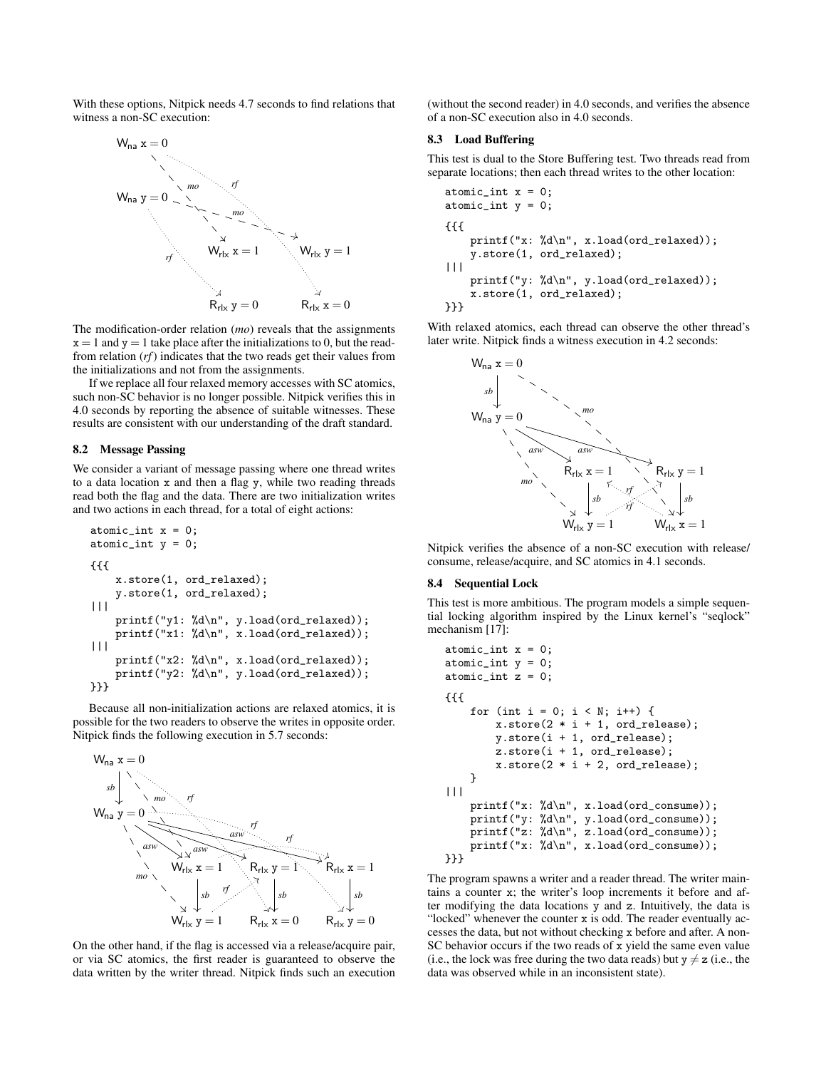With these options, Nitpick needs 4.7 seconds to find relations that witness a non-SC execution:



The modification-order relation (*mo*) reveals that the assignments  $x = 1$  and  $y = 1$  take place after the initializations to 0, but the readfrom relation (*rf*) indicates that the two reads get their values from the initializations and not from the assignments.

If we replace all four relaxed memory accesses with SC atomics, such non-SC behavior is no longer possible. Nitpick verifies this in 4.0 seconds by reporting the absence of suitable witnesses. These results are consistent with our understanding of the draft standard.

### 8.2 Message Passing

We consider a variant of message passing where one thread writes to a data location x and then a flag y, while two reading threads read both the flag and the data. There are two initialization writes and two actions in each thread, for a total of eight actions:

```
atomic_int x = 0;
atomic\_int y = 0;
{{{
    x.store(1, ord_relaxed);
    y.store(1, ord_relaxed);
||printf("y1: %d\n", y.load(ord_relaxed));
    printf("x1: %d\n", x.load(ord_relaxed));
|||
    printf("x2: %d\n", x.load(ord_relaxed));
    printf("y2: %d\n", y.load(ord_relaxed));
}}}
```
Because all non-initialization actions are relaxed atomics, it is possible for the two readers to observe the writes in opposite order. Nitpick finds the following execution in 5.7 seconds:



On the other hand, if the flag is accessed via a release/acquire pair, or via SC atomics, the first reader is guaranteed to observe the data written by the writer thread. Nitpick finds such an execution

(without the second reader) in 4.0 seconds, and verifies the absence of a non-SC execution also in 4.0 seconds.

## 8.3 Load Buffering

This test is dual to the Store Buffering test. Two threads read from separate locations; then each thread writes to the other location:

```
atomic\_int x = 0;atomic_int y = 0;
{{{
    printf("x: %d\n", x.load(ord_relaxed));
    y.store(1, ord_relaxed);
|||
    printf("y: %d\n", y.load(ord_relaxed));
    x.store(1, ord_relaxed);
}}}
```
With relaxed atomics, each thread can observe the other thread's later write. Nitpick finds a witness execution in 4.2 seconds:



Nitpick verifies the absence of a non-SC execution with release/ consume, release/acquire, and SC atomics in 4.1 seconds.

## 8.4 Sequential Lock

This test is more ambitious. The program models a simple sequential locking algorithm inspired by the Linux kernel's "seqlock" mechanism [17]:

```
atomic_int x = 0;
atomic\_int y = 0;
atomic_int z = 0;
{{{
    for (int i = 0; i < N; i++) {
        x.store(2 * i + 1, ord_{re}lease);
        y.store(i + 1, ord_release);
        z.store(i + 1, ord_release);
        x. \text{store}(2 * i + 2, \text{ ord}_{release});}
|||
    printf("x: %d\n", x.load(ord_consume));
    printf("y: %d\n", y.load(ord_consume));
    printf("z: %d\n", z.load(ord_consume));
    printf("x: %d\n", x.load(ord_consume));
}}}
```
The program spawns a writer and a reader thread. The writer maintains a counter x; the writer's loop increments it before and after modifying the data locations y and z. Intuitively, the data is "locked" whenever the counter x is odd. The reader eventually accesses the data, but not without checking x before and after. A non-SC behavior occurs if the two reads of x yield the same even value (i.e., the lock was free during the two data reads) but  $y \neq z$  (i.e., the data was observed while in an inconsistent state).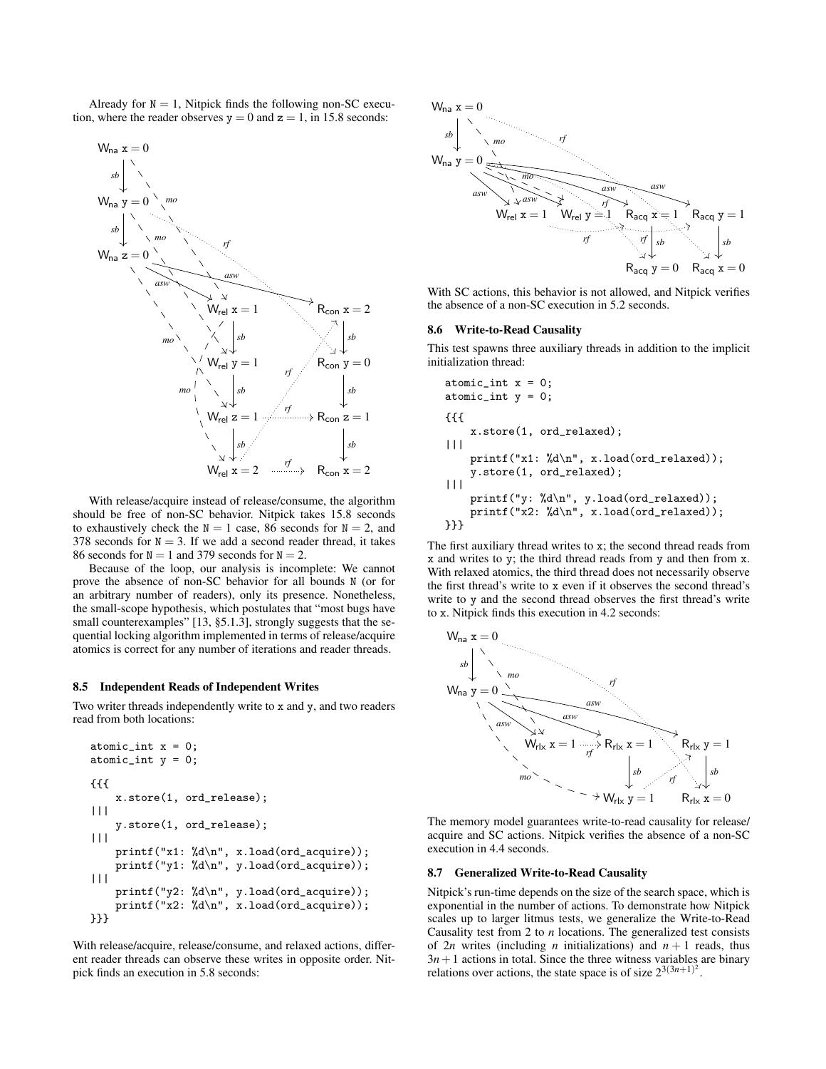Already for  $N = 1$ , Nitpick finds the following non-SC execution, where the reader observes  $y = 0$  and  $z = 1$ , in 15.8 seconds:



With release/acquire instead of release/consume, the algorithm should be free of non-SC behavior. Nitpick takes 15.8 seconds to exhaustively check the  $N = 1$  case, 86 seconds for  $N = 2$ , and 378 seconds for  $N = 3$ . If we add a second reader thread, it takes 86 seconds for  $N = 1$  and 379 seconds for  $N = 2$ .

Because of the loop, our analysis is incomplete: We cannot prove the absence of non-SC behavior for all bounds N (or for an arbitrary number of readers), only its presence. Nonetheless, the small-scope hypothesis, which postulates that "most bugs have small counterexamples" [13, §5.1.3], strongly suggests that the sequential locking algorithm implemented in terms of release/acquire atomics is correct for any number of iterations and reader threads.

#### 8.5 Independent Reads of Independent Writes

Two writer threads independently write to x and y, and two readers read from both locations:

```
atomic\_int x = 0;atomic_int y = 0;
{{{
    x.store(1, ord_release);
|||
    y.store(1, ord_release);
|||
    printf("x1: %d\n", x.load(ord_acquire));
    printf("y1: %d\n", y.load(ord_acquire));
|||
    printf("y2: %d\n", y.load(ord_acquire));
    printf("x2: %d\n", x.load(ord_acquire));
}}}
```
With release/acquire, release/consume, and relaxed actions, different reader threads can observe these writes in opposite order. Nitpick finds an execution in 5.8 seconds:



With SC actions, this behavior is not allowed, and Nitpick verifies the absence of a non-SC execution in 5.2 seconds.

#### 8.6 Write-to-Read Causality

This test spawns three auxiliary threads in addition to the implicit initialization thread:

```
atomic\_int x = 0;atomic\_int y = 0;
{{{
    x.store(1, ord_relaxed);
|||
    printf("x1: %d\n", x.load(ord_relaxed));
    y.store(1, ord_relaxed);
||printf("y: %d\n", y.load(ord_relaxed));
    printf("x2: %d\n", x.load(ord_relaxed));
}}}
```
The first auxiliary thread writes to x; the second thread reads from x and writes to y; the third thread reads from y and then from x. With relaxed atomics, the third thread does not necessarily observe the first thread's write to x even if it observes the second thread's write to y and the second thread observes the first thread's write to x. Nitpick finds this execution in 4.2 seconds:



The memory model guarantees write-to-read causality for release/ acquire and SC actions. Nitpick verifies the absence of a non-SC execution in 4.4 seconds.

#### 8.7 Generalized Write-to-Read Causality

Nitpick's run-time depends on the size of the search space, which is exponential in the number of actions. To demonstrate how Nitpick scales up to larger litmus tests, we generalize the Write-to-Read Causality test from 2 to *n* locations. The generalized test consists of 2*n* writes (including *n* initializations) and  $n + 1$  reads, thus  $3n+1$  actions in total. Since the three witness variables are binary relations over actions, the state space is of size  $2^{3(3n+1)^2}$ .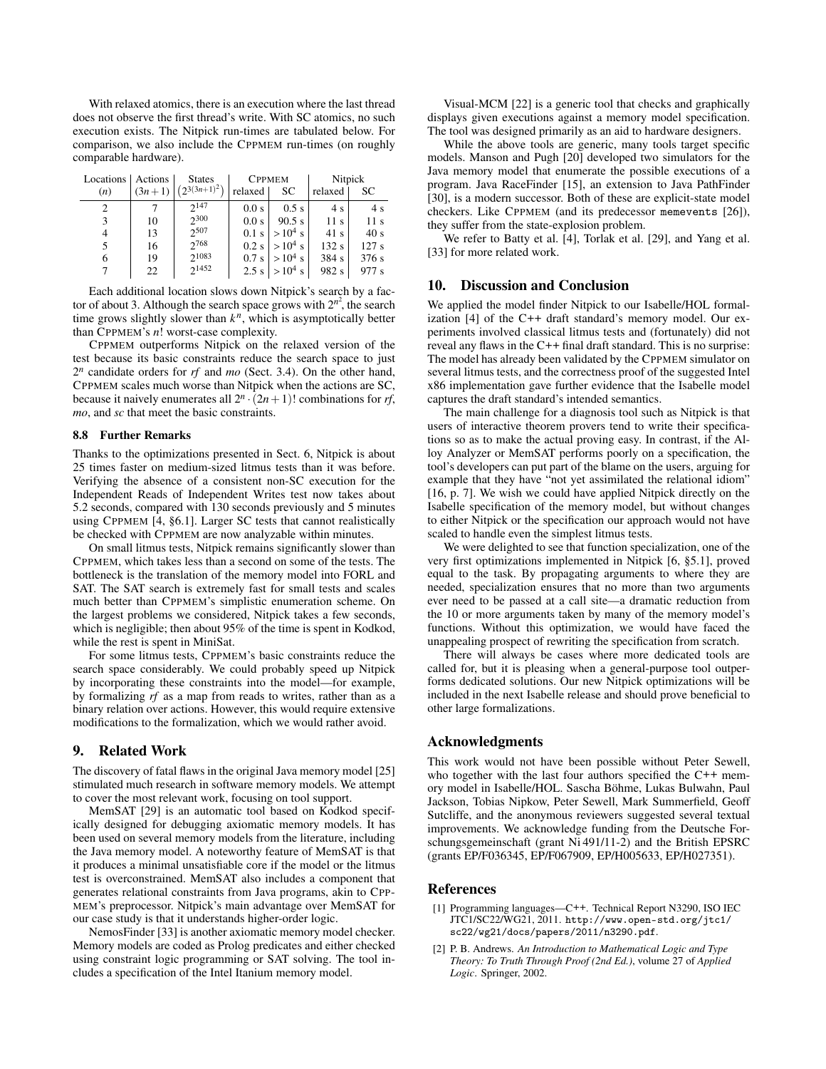With relaxed atomics, there is an execution where the last thread does not observe the first thread's write. With SC atomics, no such execution exists. The Nitpick run-times are tabulated below. For comparison, we also include the CPPMEM run-times (on roughly comparable hardware).

| Locations | Actions  | <b>States</b>     |         | <b>CPPMEM</b>     |                 | Nitpick |  |
|-----------|----------|-------------------|---------|-------------------|-----------------|---------|--|
| (n)       | $(3n+1)$ | $(2^{3(3n+1)^2})$ | relaxed | SС                | relaxed         | SC      |  |
| 2         |          | $2^{147}$         | 0.0 s   | $0.5$ s           | 4 s             | 4 s     |  |
| 3         | 10       | 2300              | 0.0 s   | 90.5 s            | 11 <sub>s</sub> | 11 s    |  |
| 4         | 13       | 2507              | $0.1$ s | $>10^4$ s         | 41 s            | 40s     |  |
| 5         | 16       | 2768              | $0.2$ s | $>10^4$ s         | 132s            | 127s    |  |
| 6         | 19       | 21083             | 0.7s    | $>10^4$ s         | 384 s           | 376s    |  |
|           | 22       | $2^{1452}$        |         | $2.5$ s $>10^4$ s | 982 s           | 977 s   |  |
|           |          |                   |         |                   |                 |         |  |

Each additional location slows down Nitpick's search by a factor of about 3. Although the search space grows with  $2^{n^2}$ , the search time grows slightly slower than  $k^n$ , which is asymptotically better than CPPMEM's *n*! worst-case complexity.

CPPMEM outperforms Nitpick on the relaxed version of the test because its basic constraints reduce the search space to just 2 *<sup>n</sup>* candidate orders for *rf* and *mo* (Sect. 3.4). On the other hand, CPPMEM scales much worse than Nitpick when the actions are SC, because it naively enumerates all  $2^n \cdot (2n+1)!$  combinations for *rf*, *mo*, and *sc* that meet the basic constraints.

#### 8.8 Further Remarks

Thanks to the optimizations presented in Sect. 6, Nitpick is about 25 times faster on medium-sized litmus tests than it was before. Verifying the absence of a consistent non-SC execution for the Independent Reads of Independent Writes test now takes about 5.2 seconds, compared with 130 seconds previously and 5 minutes using CPPMEM [4, §6.1]. Larger SC tests that cannot realistically be checked with CPPMEM are now analyzable within minutes.

On small litmus tests, Nitpick remains significantly slower than CPPMEM, which takes less than a second on some of the tests. The bottleneck is the translation of the memory model into FORL and SAT. The SAT search is extremely fast for small tests and scales much better than CPPMEM's simplistic enumeration scheme. On the largest problems we considered, Nitpick takes a few seconds, which is negligible; then about 95% of the time is spent in Kodkod, while the rest is spent in MiniSat.

For some litmus tests, CPPMEM's basic constraints reduce the search space considerably. We could probably speed up Nitpick by incorporating these constraints into the model—for example, by formalizing *rf* as a map from reads to writes, rather than as a binary relation over actions. However, this would require extensive modifications to the formalization, which we would rather avoid.

## 9. Related Work

The discovery of fatal flaws in the original Java memory model [25] stimulated much research in software memory models. We attempt to cover the most relevant work, focusing on tool support.

MemSAT [29] is an automatic tool based on Kodkod specifically designed for debugging axiomatic memory models. It has been used on several memory models from the literature, including the Java memory model. A noteworthy feature of MemSAT is that it produces a minimal unsatisfiable core if the model or the litmus test is overconstrained. MemSAT also includes a component that generates relational constraints from Java programs, akin to CPP-MEM's preprocessor. Nitpick's main advantage over MemSAT for our case study is that it understands higher-order logic.

NemosFinder [33] is another axiomatic memory model checker. Memory models are coded as Prolog predicates and either checked using constraint logic programming or SAT solving. The tool includes a specification of the Intel Itanium memory model.

Visual-MCM [22] is a generic tool that checks and graphically displays given executions against a memory model specification. The tool was designed primarily as an aid to hardware designers.

While the above tools are generic, many tools target specific models. Manson and Pugh [20] developed two simulators for the Java memory model that enumerate the possible executions of a program. Java RaceFinder [15], an extension to Java PathFinder [30], is a modern successor. Both of these are explicit-state model checkers. Like CPPMEM (and its predecessor memevents [26]), they suffer from the state-explosion problem.

We refer to Batty et al. [4], Torlak et al. [29], and Yang et al. [33] for more related work.

#### 10. Discussion and Conclusion

We applied the model finder Nitpick to our Isabelle/HOL formalization [4] of the C++ draft standard's memory model. Our experiments involved classical litmus tests and (fortunately) did not reveal any flaws in the C++ final draft standard. This is no surprise: The model has already been validated by the CPPMEM simulator on several litmus tests, and the correctness proof of the suggested Intel x86 implementation gave further evidence that the Isabelle model captures the draft standard's intended semantics.

The main challenge for a diagnosis tool such as Nitpick is that users of interactive theorem provers tend to write their specifications so as to make the actual proving easy. In contrast, if the Alloy Analyzer or MemSAT performs poorly on a specification, the tool's developers can put part of the blame on the users, arguing for example that they have "not yet assimilated the relational idiom" [16, p. 7]. We wish we could have applied Nitpick directly on the Isabelle specification of the memory model, but without changes to either Nitpick or the specification our approach would not have scaled to handle even the simplest litmus tests.

We were delighted to see that function specialization, one of the very first optimizations implemented in Nitpick [6, §5.1], proved equal to the task. By propagating arguments to where they are needed, specialization ensures that no more than two arguments ever need to be passed at a call site—a dramatic reduction from the 10 or more arguments taken by many of the memory model's functions. Without this optimization, we would have faced the unappealing prospect of rewriting the specification from scratch.

There will always be cases where more dedicated tools are called for, but it is pleasing when a general-purpose tool outperforms dedicated solutions. Our new Nitpick optimizations will be included in the next Isabelle release and should prove beneficial to other large formalizations.

## Acknowledgments

This work would not have been possible without Peter Sewell, who together with the last four authors specified the C++ memory model in Isabelle/HOL. Sascha Böhme, Lukas Bulwahn, Paul Jackson, Tobias Nipkow, Peter Sewell, Mark Summerfield, Geoff Sutcliffe, and the anonymous reviewers suggested several textual improvements. We acknowledge funding from the Deutsche Forschungsgemeinschaft (grant Ni 491/11-2) and the British EPSRC (grants EP/F036345, EP/F067909, EP/H005633, EP/H027351).

### References

- [1] Programming languages—C++. Technical Report N3290, ISO IEC JTC1/SC22/WG21, 2011. http://www.open-std.org/jtc1/ sc22/wg21/docs/papers/2011/n3290.pdf.
- [2] P. B. Andrews. *An Introduction to Mathematical Logic and Type Theory: To Truth Through Proof (2nd Ed.)*, volume 27 of *Applied Logic*. Springer, 2002.